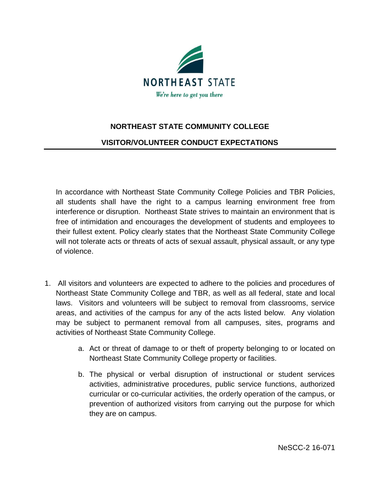

## **NORTHEAST STATE COMMUNITY COLLEGE**

## **VISITOR/VOLUNTEER CONDUCT EXPECTATIONS**

In accordance with Northeast State Community College Policies and TBR Policies, all students shall have the right to a campus learning environment free from interference or disruption. Northeast State strives to maintain an environment that is free of intimidation and encourages the development of students and employees to their fullest extent. Policy clearly states that the Northeast State Community College will not tolerate acts or threats of acts of sexual assault, physical assault, or any type of violence.

- 1. All visitors and volunteers are expected to adhere to the policies and procedures of Northeast State Community College and TBR, as well as all federal, state and local laws. Visitors and volunteers will be subject to removal from classrooms, service areas, and activities of the campus for any of the acts listed below. Any violation may be subject to permanent removal from all campuses, sites, programs and activities of Northeast State Community College.
	- a. Act or threat of damage to or theft of property belonging to or located on Northeast State Community College property or facilities.
	- b. The physical or verbal disruption of instructional or student services activities, administrative procedures, public service functions, authorized curricular or co-curricular activities, the orderly operation of the campus, or prevention of authorized visitors from carrying out the purpose for which they are on campus.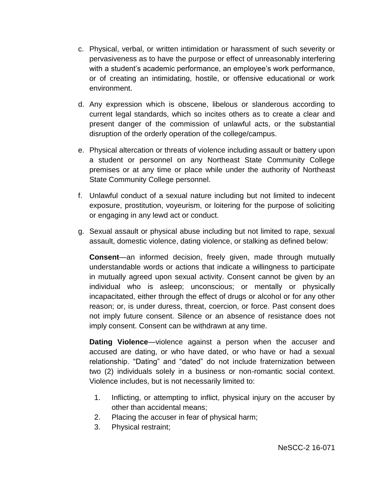- c. Physical, verbal, or written intimidation or harassment of such severity or pervasiveness as to have the purpose or effect of unreasonably interfering with a student's academic performance, an employee's work performance, or of creating an intimidating, hostile, or offensive educational or work environment.
- d. Any expression which is obscene, libelous or slanderous according to current legal standards, which so incites others as to create a clear and present danger of the commission of unlawful acts, or the substantial disruption of the orderly operation of the college/campus.
- e. Physical altercation or threats of violence including assault or battery upon a student or personnel on any Northeast State Community College premises or at any time or place while under the authority of Northeast State Community College personnel.
- f. Unlawful conduct of a sexual nature including but not limited to indecent exposure, prostitution, voyeurism, or loitering for the purpose of soliciting or engaging in any lewd act or conduct.
- g. Sexual assault or physical abuse including but not limited to rape, sexual assault, domestic violence, dating violence, or stalking as defined below:

**Consent**—an informed decision, freely given, made through mutually understandable words or actions that indicate a willingness to participate in mutually agreed upon sexual activity. Consent cannot be given by an individual who is asleep; unconscious; or mentally or physically incapacitated, either through the effect of drugs or alcohol or for any other reason; or, is under duress, threat, coercion, or force. Past consent does not imply future consent. Silence or an absence of resistance does not imply consent. Consent can be withdrawn at any time.

**Dating Violence**—violence against a person when the accuser and accused are dating, or who have dated, or who have or had a sexual relationship. "Dating" and "dated" do not include fraternization between two (2) individuals solely in a business or non-romantic social context. Violence includes, but is not necessarily limited to:

- 1. Inflicting, or attempting to inflict, physical injury on the accuser by other than accidental means;
- 2. Placing the accuser in fear of physical harm;
- 3. Physical restraint;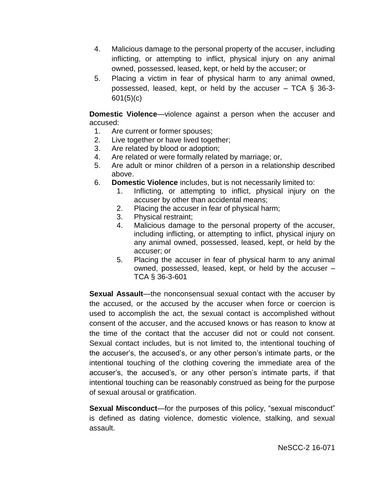- 4. Malicious damage to the personal property of the accuser, including inflicting, or attempting to inflict, physical injury on any animal owned, possessed, leased, kept, or held by the accuser; or
- 5. Placing a victim in fear of physical harm to any animal owned, possessed, leased, kept, or held by the accuser – TCA § 36-3- 601(5)(c)

**Domestic Violence**—violence against a person when the accuser and accused:

- 1. Are current or former spouses;
- 2. Live together or have lived together;
- 3. Are related by blood or adoption;
- 4. Are related or were formally related by marriage; or,
- 5. Are adult or minor children of a person in a relationship described above.
- 6. **Domestic Violence** includes, but is not necessarily limited to:
	- 1. Inflicting, or attempting to inflict, physical injury on the accuser by other than accidental means;
	- 2. Placing the accuser in fear of physical harm;
	- 3. Physical restraint;
	- 4. Malicious damage to the personal property of the accuser, including inflicting, or attempting to inflict, physical injury on any animal owned, possessed, leased, kept, or held by the accuser; or
	- 5. Placing the accuser in fear of physical harm to any animal owned, possessed, leased, kept, or held by the accuser – TCA § 36-3-601

**Sexual Assault**—the nonconsensual sexual contact with the accuser by the accused, or the accused by the accuser when force or coercion is used to accomplish the act, the sexual contact is accomplished without consent of the accuser, and the accused knows or has reason to know at the time of the contact that the accuser did not or could not consent. Sexual contact includes, but is not limited to, the intentional touching of the accuser's, the accused's, or any other person's intimate parts, or the intentional touching of the clothing covering the immediate area of the accuser's, the accused's, or any other person's intimate parts, if that intentional touching can be reasonably construed as being for the purpose of sexual arousal or gratification.

**Sexual Misconduct**—for the purposes of this policy, "sexual misconduct" is defined as dating violence, domestic violence, stalking, and sexual assault.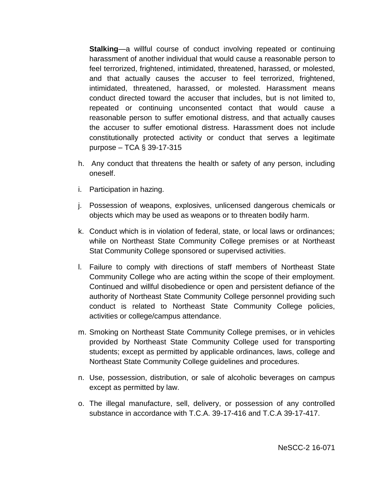**Stalking**—a willful course of conduct involving repeated or continuing harassment of another individual that would cause a reasonable person to feel terrorized, frightened, intimidated, threatened, harassed, or molested, and that actually causes the accuser to feel terrorized, frightened, intimidated, threatened, harassed, or molested. Harassment means conduct directed toward the accuser that includes, but is not limited to, repeated or continuing unconsented contact that would cause a reasonable person to suffer emotional distress, and that actually causes the accuser to suffer emotional distress. Harassment does not include constitutionally protected activity or conduct that serves a legitimate purpose – TCA § 39-17-315

- h. Any conduct that threatens the health or safety of any person, including oneself.
- i. Participation in hazing.
- j. Possession of weapons, explosives, unlicensed dangerous chemicals or objects which may be used as weapons or to threaten bodily harm.
- k. Conduct which is in violation of federal, state, or local laws or ordinances; while on Northeast State Community College premises or at Northeast Stat Community College sponsored or supervised activities.
- l. Failure to comply with directions of staff members of Northeast State Community College who are acting within the scope of their employment. Continued and willful disobedience or open and persistent defiance of the authority of Northeast State Community College personnel providing such conduct is related to Northeast State Community College policies, activities or college/campus attendance.
- m. Smoking on Northeast State Community College premises, or in vehicles provided by Northeast State Community College used for transporting students; except as permitted by applicable ordinances, laws, college and Northeast State Community College guidelines and procedures.
- n. Use, possession, distribution, or sale of alcoholic beverages on campus except as permitted by law.
- o. The illegal manufacture, sell, delivery, or possession of any controlled substance in accordance with T.C.A. 39-17-416 and T.C.A 39-17-417.